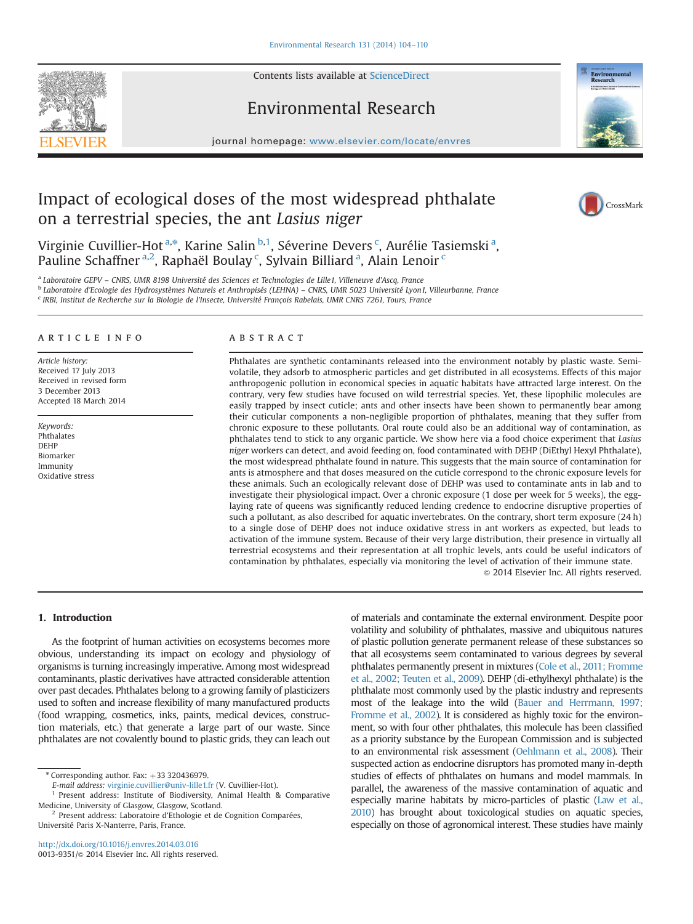

Contents lists available at [ScienceDirect](www.sciencedirect.com/science/journal/00139351)

# Environmental Research

journal homepage: <www.elsevier.com/locate/envres>se $\mathcal{C}$ 



# Impact of ecological doses of the most widespread phthalate on a terrestrial species, the ant Lasius niger



Virginie Cuvillier-Hot<sup>a,\*</sup>, Karine Salin <sup>b,1</sup>, Séverine Devers <sup>c</sup>, Aurélie Tasiemski<sup>a</sup>, Pauline Schaffner <sup>a,2</sup>, Raphaël Boulay <sup>c</sup>, Sylvain Billiard <sup>a</sup>, Alain Lenoir <sup>c</sup>

<sup>a</sup> Laboratoire GEPV – CNRS, UMR 8198 Université des Sciences et Technologies de Lille1, Villeneuve d'Ascq, France

<sup>b</sup> Laboratoire d'Ecologie des Hydrosystèmes Naturels et Anthropisés (LEHNA) – CNRS, UMR 5023 Université Lyon1, Villeurbanne, France

<sup>c</sup> IRBI, Institut de Recherche sur la Biologie de l'Insecte, Université François Rabelais, UMR CNRS 7261, Tours, France

# article info

Article history: Received 17 July 2013 Received in revised form 3 December 2013 Accepted 18 March 2014

Keywords: Phthalates DEHP Biomarker Immunity Oxidative stress

# **ARSTRACT**

Phthalates are synthetic contaminants released into the environment notably by plastic waste. Semivolatile, they adsorb to atmospheric particles and get distributed in all ecosystems. Effects of this major anthropogenic pollution in economical species in aquatic habitats have attracted large interest. On the contrary, very few studies have focused on wild terrestrial species. Yet, these lipophilic molecules are easily trapped by insect cuticle; ants and other insects have been shown to permanently bear among their cuticular components a non-negligible proportion of phthalates, meaning that they suffer from chronic exposure to these pollutants. Oral route could also be an additional way of contamination, as phthalates tend to stick to any organic particle. We show here via a food choice experiment that Lasius niger workers can detect, and avoid feeding on, food contaminated with DEHP (DiEthyl Hexyl Phthalate), the most widespread phthalate found in nature. This suggests that the main source of contamination for ants is atmosphere and that doses measured on the cuticle correspond to the chronic exposure levels for these animals. Such an ecologically relevant dose of DEHP was used to contaminate ants in lab and to investigate their physiological impact. Over a chronic exposure (1 dose per week for 5 weeks), the egglaying rate of queens was significantly reduced lending credence to endocrine disruptive properties of such a pollutant, as also described for aquatic invertebrates. On the contrary, short term exposure (24 h) to a single dose of DEHP does not induce oxidative stress in ant workers as expected, but leads to activation of the immune system. Because of their very large distribution, their presence in virtually all terrestrial ecosystems and their representation at all trophic levels, ants could be useful indicators of contamination by phthalates, especially via monitoring the level of activation of their immune state.

 $\odot$  2014 Elsevier Inc. All rights reserved.

## 1. Introduction

As the footprint of human activities on ecosystems becomes more obvious, understanding its impact on ecology and physiology of organisms is turning increasingly imperative. Among most widespread contaminants, plastic derivatives have attracted considerable attention over past decades. Phthalates belong to a growing family of plasticizers used to soften and increase flexibility of many manufactured products (food wrapping, cosmetics, inks, paints, medical devices, construction materials, etc.) that generate a large part of our waste. Since phthalates are not covalently bound to plastic grids, they can leach out

 $*$  Corresponding author. Fax:  $+33$  320436979.

of materials and contaminate the external environment. Despite poor volatility and solubility of phthalates, massive and ubiquitous natures of plastic pollution generate permanent release of these substances so that all ecosystems seem contaminated to various degrees by several phthalates permanently present in mixtures [\(Cole et al., 2011; Fromme](#page-5-0) [et al., 2002; Teuten et al., 2009](#page-6-0)). DEHP (di-ethylhexyl phthalate) is the phthalate most commonly used by the plastic industry and represents most of the leakage into the wild [\(Bauer and Herrmann, 1997;](#page-5-0) [Fromme et al., 2002\)](#page-5-0). It is considered as highly toxic for the environment, so with four other phthalates, this molecule has been classified as a priority substance by the European Commission and is subjected to an environmental risk assessment ([Oehlmann et al., 2008](#page-6-0)). Their suspected action as endocrine disruptors has promoted many in-depth studies of effects of phthalates on humans and model mammals. In parallel, the awareness of the massive contamination of aquatic and especially marine habitats by micro-particles of plastic ([Law et al.,](#page-5-0) [2010\)](#page-5-0) has brought about toxicological studies on aquatic species, especially on those of agronomical interest. These studies have mainly

E-mail address: [virginie.cuvillier@univ-lille1.fr](mailto:virginie.cuvillier@univ-lille1.fr) (V. Cuvillier-Hot).

Present address: Institute of Biodiversity, Animal Health & Comparative Medicine, University of Glasgow, Glasgow, Scotland.

<sup>2</sup> Present address: Laboratoire d'Ethologie et de Cognition Comparées, Université Paris X-Nanterre, Paris, France.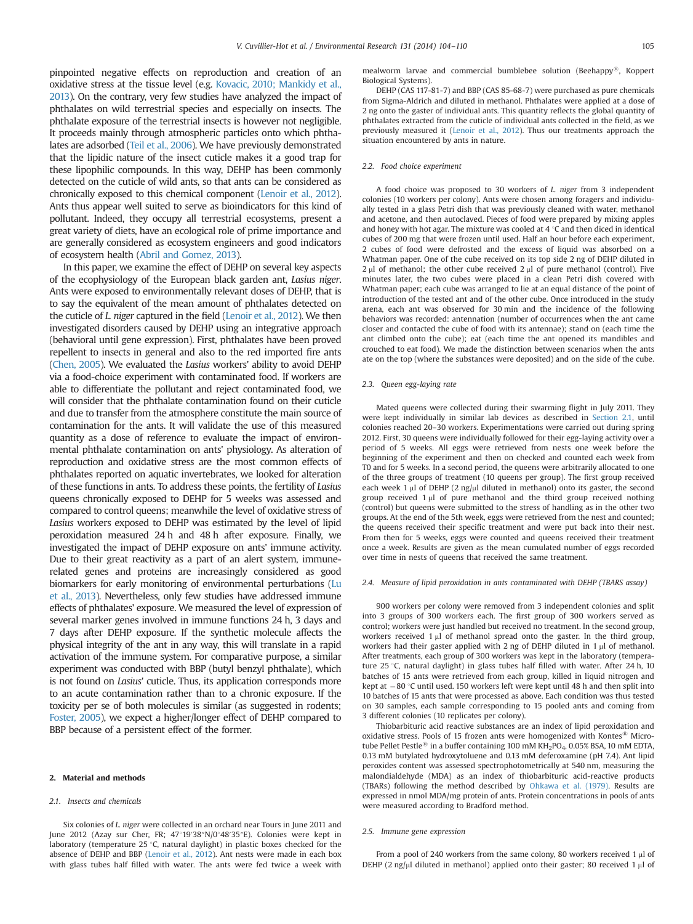pinpointed negative effects on reproduction and creation of an oxidative stress at the tissue level (e.g. [Kovacic, 2010; Mankidy et al.,](#page-6-0) [2013\)](#page-6-0). On the contrary, very few studies have analyzed the impact of phthalates on wild terrestrial species and especially on insects. The phthalate exposure of the terrestrial insects is however not negligible. It proceeds mainly through atmospheric particles onto which phthalates are adsorbed ([Teil et al., 2006\)](#page-6-0). We have previously demonstrated that the lipidic nature of the insect cuticle makes it a good trap for these lipophilic compounds. In this way, DEHP has been commonly detected on the cuticle of wild ants, so that ants can be considered as chronically exposed to this chemical component [\(Lenoir et al., 2012\)](#page-5-0). Ants thus appear well suited to serve as bioindicators for this kind of pollutant. Indeed, they occupy all terrestrial ecosystems, present a great variety of diets, have an ecological role of prime importance and are generally considered as ecosystem engineers and good indicators of ecosystem health [\(Abril and Gomez, 2013](#page-5-0)).

In this paper, we examine the effect of DEHP on several key aspects of the ecophysiology of the European black garden ant, Lasius niger. Ants were exposed to environmentally relevant doses of DEHP, that is to say the equivalent of the mean amount of phthalates detected on the cuticle of L. niger captured in the field [\(Lenoir et al., 2012](#page-5-0)). We then investigated disorders caused by DEHP using an integrative approach (behavioral until gene expression). First, phthalates have been proved repellent to insects in general and also to the red imported fire ants [\(Chen, 2005](#page-5-0)). We evaluated the Lasius workers' ability to avoid DEHP via a food-choice experiment with contaminated food. If workers are able to differentiate the pollutant and reject contaminated food, we will consider that the phthalate contamination found on their cuticle and due to transfer from the atmosphere constitute the main source of contamination for the ants. It will validate the use of this measured quantity as a dose of reference to evaluate the impact of environmental phthalate contamination on ants' physiology. As alteration of reproduction and oxidative stress are the most common effects of phthalates reported on aquatic invertebrates, we looked for alteration of these functions in ants. To address these points, the fertility of Lasius queens chronically exposed to DEHP for 5 weeks was assessed and compared to control queens; meanwhile the level of oxidative stress of Lasius workers exposed to DEHP was estimated by the level of lipid peroxidation measured 24 h and 48 h after exposure. Finally, we investigated the impact of DEHP exposure on ants' immune activity. Due to their great reactivity as a part of an alert system, immunerelated genes and proteins are increasingly considered as good biomarkers for early monitoring of environmental perturbations [\(Lu](#page-6-0) [et al., 2013](#page-6-0)). Nevertheless, only few studies have addressed immune effects of phthalates' exposure. We measured the level of expression of several marker genes involved in immune functions 24 h, 3 days and 7 days after DEHP exposure. If the synthetic molecule affects the physical integrity of the ant in any way, this will translate in a rapid activation of the immune system. For comparative purpose, a similar experiment was conducted with BBP (butyl benzyl phthalate), which is not found on Lasius' cuticle. Thus, its application corresponds more to an acute contamination rather than to a chronic exposure. If the toxicity per se of both molecules is similar (as suggested in rodents; [Foster, 2005](#page-5-0)), we expect a higher/longer effect of DEHP compared to BBP because of a persistent effect of the former.

## 2. Material and methods

#### 2.1. Insects and chemicals

Six colonies of L. niger were collected in an orchard near Tours in June 2011 and June 2012 (Azay sur Cher, FR; 47°19'38"N/0°48'35"E). Colonies were kept in laboratory (temperature 25  $\degree$ C, natural daylight) in plastic boxes checked for the absence of DEHP and BBP [\(Lenoir et al., 2012\)](#page-5-0). Ant nests were made in each box with glass tubes half filled with water. The ants were fed twice a week with mealworm larvae and commercial bumblebee solution (Beehappy $^{\circledR}$ , Koppert Biological Systems).

DEHP (CAS 117-81-7) and BBP (CAS 85-68-7) were purchased as pure chemicals from Sigma-Aldrich and diluted in methanol. Phthalates were applied at a dose of 2 ng onto the gaster of individual ants. This quantity reflects the global quantity of phthalates extracted from the cuticle of individual ants collected in the field, as we previously measured it [\(Lenoir et al., 2012\)](#page-5-0). Thus our treatments approach the situation encountered by ants in nature.

## 2.2. Food choice experiment

A food choice was proposed to 30 workers of L. niger from 3 independent colonies (10 workers per colony). Ants were chosen among foragers and individually tested in a glass Petri dish that was previously cleaned with water, methanol and acetone, and then autoclaved. Pieces of food were prepared by mixing apples and honey with hot agar. The mixture was cooled at  $4^{\circ}$ C and then diced in identical cubes of 200 mg that were frozen until used. Half an hour before each experiment, 2 cubes of food were defrosted and the excess of liquid was absorbed on a Whatman paper. One of the cube received on its top side 2 ng of DEHP diluted in  $2 \mu$ l of methanol; the other cube received  $2 \mu$ l of pure methanol (control). Five minutes later, the two cubes were placed in a clean Petri dish covered with Whatman paper; each cube was arranged to lie at an equal distance of the point of introduction of the tested ant and of the other cube. Once introduced in the study arena, each ant was observed for 30 min and the incidence of the following behaviors was recorded: antennation (number of occurrences when the ant came closer and contacted the cube of food with its antennae); stand on (each time the ant climbed onto the cube); eat (each time the ant opened its mandibles and crouched to eat food). We made the distinction between scenarios when the ants ate on the top (where the substances were deposited) and on the side of the cube.

### 2.3. Queen egg-laying rate

Mated queens were collected during their swarming flight in July 2011. They were kept individually in similar lab devices as described in Section 2.1, until colonies reached 20–30 workers. Experimentations were carried out during spring 2012. First, 30 queens were individually followed for their egg-laying activity over a period of 5 weeks. All eggs were retrieved from nests one week before the beginning of the experiment and then on checked and counted each week from T0 and for 5 weeks. In a second period, the queens were arbitrarily allocated to one of the three groups of treatment (10 queens per group). The first group received each week 1  $\mu$ l of DEHP (2 ng/ $\mu$ l diluted in methanol) onto its gaster, the second group received  $1 \mu l$  of pure methanol and the third group received nothing (control) but queens were submitted to the stress of handling as in the other two groups. At the end of the 5th week, eggs were retrieved from the nest and counted; the queens received their specific treatment and were put back into their nest. From then for 5 weeks, eggs were counted and queens received their treatment once a week. Results are given as the mean cumulated number of eggs recorded over time in nests of queens that received the same treatment.

#### 2.4. Measure of lipid peroxidation in ants contaminated with DEHP (TBARS assay)

900 workers per colony were removed from 3 independent colonies and split into 3 groups of 300 workers each. The first group of 300 workers served as control; workers were just handled but received no treatment. In the second group, workers received  $1 \mu$ l of methanol spread onto the gaster. In the third group, workers had their gaster applied with 2 ng of DEHP diluted in 1  $\mu$ l of methanol. After treatments, each group of 300 workers was kept in the laboratory (temperature 25 °C, natural daylight) in glass tubes half filled with water. After 24 h, 10 batches of 15 ants were retrieved from each group, killed in liquid nitrogen and kept at  $-80$  °C until used. 150 workers left were kept until 48 h and then split into 10 batches of 15 ants that were processed as above. Each condition was thus tested on 30 samples, each sample corresponding to 15 pooled ants and coming from 3 different colonies (10 replicates per colony).

Thiobarbituric acid reactive substances are an index of lipid peroxidation and oxidative stress. Pools of 15 frozen ants were homogenized with Kontes $<sup>®</sup>$  Micro-</sup> tube Pellet Pestle® in a buffer containing 100 mM KH<sub>2</sub>PO<sub>4</sub>, 0.05% BSA, 10 mM EDTA, 0.13 mM butylated hydroxytoluene and 0.13 mM deferoxamine (pH 7.4). Ant lipid peroxides content was assessed spectrophotometrically at 540 nm, measuring the malondialdehyde (MDA) as an index of thiobarbituric acid-reactive products (TBARs) following the method described by [Ohkawa et al. \(1979\).](#page-6-0) Results are expressed in nmol MDA/mg protein of ants. Protein concentrations in pools of ants were measured according to Bradford method.

### 2.5. Immune gene expression

From a pool of 240 workers from the same colony, 80 workers received 1  $\mu$ l of DEHP (2 ng/ $\mu$ l diluted in methanol) applied onto their gaster; 80 received 1  $\mu$ l of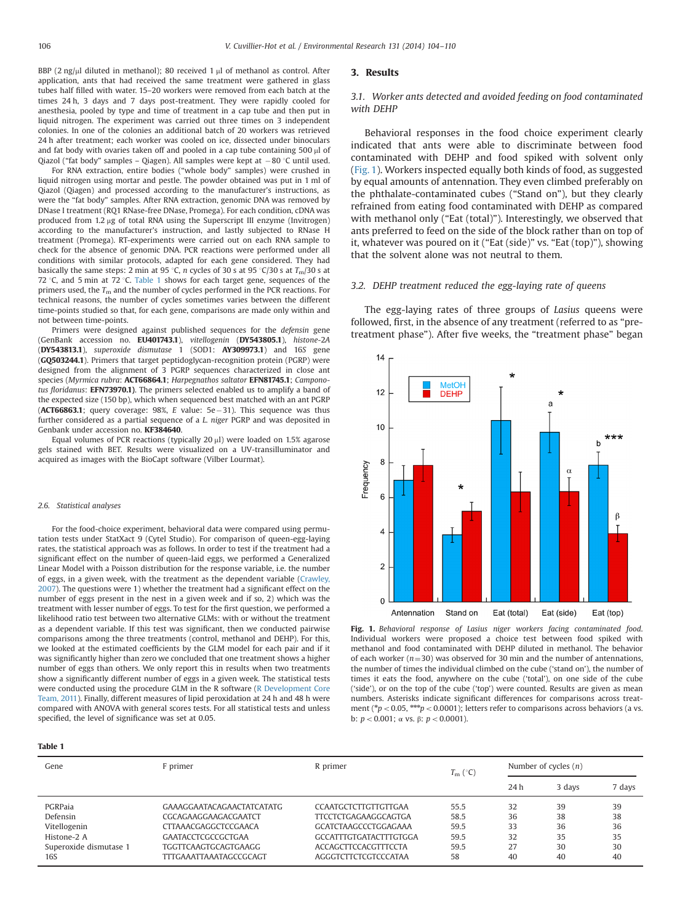<span id="page-2-0"></span>BBP (2 ng/ $\mu$ l diluted in methanol); 80 received 1  $\mu$ l of methanol as control. After application, ants that had received the same treatment were gathered in glass tubes half filled with water. 15–20 workers were removed from each batch at the times 24 h, 3 days and 7 days post-treatment. They were rapidly cooled for anesthesia, pooled by type and time of treatment in a cap tube and then put in liquid nitrogen. The experiment was carried out three times on 3 independent colonies. In one of the colonies an additional batch of 20 workers was retrieved 24 h after treatment; each worker was cooled on ice, dissected under binoculars and fat body with ovaries taken off and pooled in a cap tube containing 500  $\mu$ l of Qiazol ("fat body" samples – Qiagen). All samples were kept at -80 1C until used.

For RNA extraction, entire bodies ("whole body" samples) were crushed in liquid nitrogen using mortar and pestle. The powder obtained was put in 1 ml of Qiazol (Qiagen) and processed according to the manufacturer's instructions, as were the "fat body" samples. After RNA extraction, genomic DNA was removed by DNase I treatment (RQ1 RNase-free DNase, Promega). For each condition, cDNA was produced from  $1.2 \mu$ g of total RNA using the Superscript III enzyme (Invitrogen) according to the manufacturer's instruction, and lastly subjected to RNase H treatment (Promega). RT-experiments were carried out on each RNA sample to check for the absence of genomic DNA. PCR reactions were performed under all conditions with similar protocols, adapted for each gene considered. They had basically the same steps: 2 min at 95 °C, n cycles of 30 s at 95 °C/30 s at  $T_m/30$  s at 72 °C, and 5 min at 72 °C. Table 1 shows for each target gene, sequences of the primers used, the  $T<sub>m</sub>$  and the number of cycles performed in the PCR reactions. For technical reasons, the number of cycles sometimes varies between the different time-points studied so that, for each gene, comparisons are made only within and not between time-points.

Primers were designed against published sequences for the defensin gene (GenBank accession no. EU401743.1), vitellogenin (DY543805.1), histone-2A (DY543813.1), superoxide dismutase 1 (SOD1: AY309973.1) and 16S gene (GQ503244.1). Primers that target peptidoglycan-recognition protein (PGRP) were designed from the alignment of 3 PGRP sequences characterized in close ant species (Myrmica rubra: ACT66864.1; Harpegnathos saltator EFN81745.1; Camponotus floridanus: EFN73970.1). The primers selected enabled us to amplify a band of the expected size (150 bp), which when sequenced best matched with an ant PGRP  $(ACT66863.1;$  query coverage:  $98\%$ , E value:  $5e-31$ ). This sequence was thus further considered as a partial sequence of a L. niger PGRP and was deposited in Genbank under accession no. KF384640.

Equal volumes of PCR reactions (typically 20  $\mu$ l) were loaded on 1.5% agarose gels stained with BET. Results were visualized on a UV-transilluminator and acquired as images with the BioCapt software (Vilber Lourmat).

#### 2.6. Statistical analyses

For the food-choice experiment, behavioral data were compared using permutation tests under StatXact 9 (Cytel Studio). For comparison of queen-egg-laying rates, the statistical approach was as follows. In order to test if the treatment had a significant effect on the number of queen-laid eggs, we performed a Generalized Linear Model with a Poisson distribution for the response variable, i.e. the number of eggs, in a given week, with the treatment as the dependent variable [\(Crawley,](#page-5-0) [2007](#page-5-0)). The questions were 1) whether the treatment had a significant effect on the number of eggs present in the nest in a given week and if so, 2) which was the treatment with lesser number of eggs. To test for the first question, we performed a likelihood ratio test between two alternative GLMs: with or without the treatment as a dependent variable. If this test was significant, then we conducted pairwise comparisons among the three treatments (control, methanol and DEHP). For this, we looked at the estimated coefficients by the GLM model for each pair and if it was significantly higher than zero we concluded that one treatment shows a higher number of eggs than others. We only report this in results when two treatments show a significantly different number of eggs in a given week. The statistical tests were conducted using the procedure GLM in the R software ([R Development Core](#page-6-0) [Team, 2011\)](#page-6-0). Finally, different measures of lipid peroxidation at 24 h and 48 h were compared with ANOVA with general scores tests. For all statistical tests and unless specified, the level of significance was set at 0.05.

## 3. Results

# 3.1. Worker ants detected and avoided feeding on food contaminated with DEHP

Behavioral responses in the food choice experiment clearly indicated that ants were able to discriminate between food contaminated with DEHP and food spiked with solvent only (Fig. 1). Workers inspected equally both kinds of food, as suggested by equal amounts of antennation. They even climbed preferably on the phthalate-contaminated cubes ("Stand on"), but they clearly refrained from eating food contaminated with DEHP as compared with methanol only ("Eat (total)"). Interestingly, we observed that ants preferred to feed on the side of the block rather than on top of it, whatever was poured on it ("Eat (side)" vs. "Eat (top)"), showing that the solvent alone was not neutral to them.

## 3.2. DEHP treatment reduced the egg-laying rate of queens

The egg-laying rates of three groups of Lasius queens were followed, first, in the absence of any treatment (referred to as "pretreatment phase"). After five weeks, the "treatment phase" began



Fig. 1. Behavioral response of Lasius niger workers facing contaminated food. Individual workers were proposed a choice test between food spiked with methanol and food contaminated with DEHP diluted in methanol. The behavior of each worker ( $n=30$ ) was observed for 30 min and the number of antennations, the number of times the individual climbed on the cube ('stand on'), the number of times it eats the food, anywhere on the cube ('total'), on one side of the cube ('side'), or on the top of the cube ('top') were counted. Results are given as mean numbers. Asterisks indicate significant differences for comparisons across treatment ( $np < 0.05$ ,  $***p < 0.0001$ ); letters refer to comparisons across behaviors (a vs. b:  $p < 0.001$ : α vs.  $\beta$ :  $p < 0.0001$ ).

#### Table 1

| Gene                   | F primer                         | R primer                      | $T_{\rm m}$ (°C) | Number of cycles $(n)$ |        |        |
|------------------------|----------------------------------|-------------------------------|------------------|------------------------|--------|--------|
|                        |                                  |                               |                  | 24 h                   | 3 days | 7 days |
| PGRPaia                | <b>GAAAGGAATACAGAACTATCATATG</b> | <b>CCAATGCTCTTGTTGTTGAA</b>   | 55.5             | 32                     | 39     | 39     |
| Defensin               | CGCAGAAGGAAGACGAATCT             | <b>TTCCTCTGAGAAGGCAGTGA</b>   | 58.5             | 36                     | 38     | 38     |
| Vitellogenin           | CTTAAACGAGGCTCCGAACA             | GCATCTAAGCCCTGGAGAAA          | 59.5             | 33                     | 36     | 36     |
| Histone-2 A            | GAATACCTCGCCGCTGAA               | <b>GCCATTTGTGATACTTTGTGGA</b> | 59.5             | 32                     | 35     | 35     |
| Superoxide dismutase 1 | <b>TGGTTCAAGTGCAGTGAAGG</b>      | <b>ACCAGCTTCCACGTTTCCTA</b>   | 59.5             | 27                     | 30     | 30     |
| 16S                    | TTTGAAATTAAATAGCCGCAGT           | AGGGTCTTCTCGTCCCATAA          | 58               | 40                     | 40     | 40     |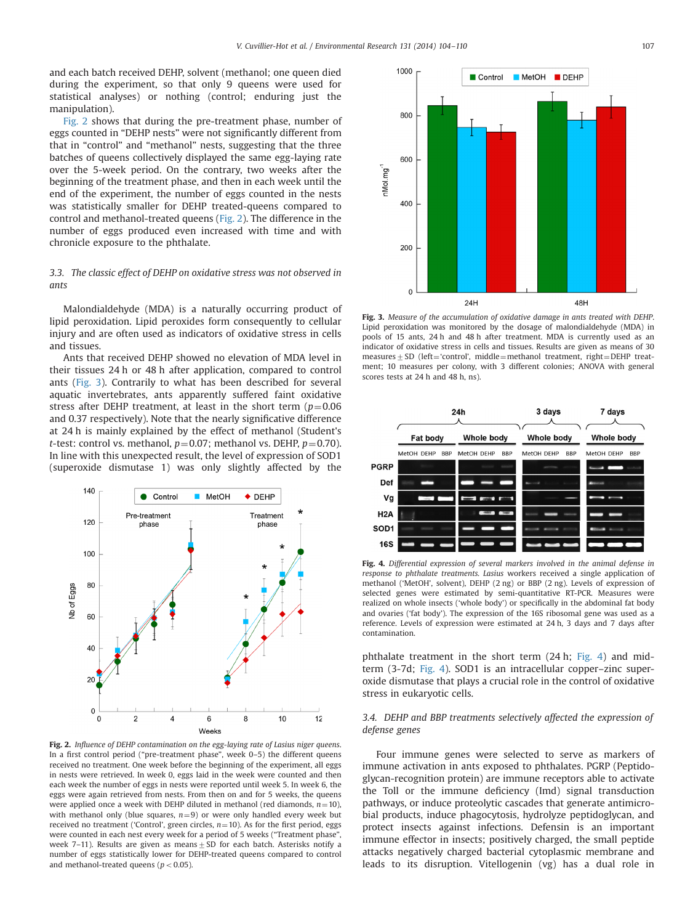<span id="page-3-0"></span>and each batch received DEHP, solvent (methanol; one queen died during the experiment, so that only 9 queens were used for statistical analyses) or nothing (control; enduring just the manipulation).

Fig. 2 shows that during the pre-treatment phase, number of eggs counted in "DEHP nests" were not significantly different from that in "control" and "methanol" nests, suggesting that the three batches of queens collectively displayed the same egg-laying rate over the 5-week period. On the contrary, two weeks after the beginning of the treatment phase, and then in each week until the end of the experiment, the number of eggs counted in the nests was statistically smaller for DEHP treated-queens compared to control and methanol-treated queens (Fig. 2). The difference in the number of eggs produced even increased with time and with chronicle exposure to the phthalate.

# 3.3. The classic effect of DEHP on oxidative stress was not observed in ants

Malondialdehyde (MDA) is a naturally occurring product of lipid peroxidation. Lipid peroxides form consequently to cellular injury and are often used as indicators of oxidative stress in cells and tissues.

Ants that received DEHP showed no elevation of MDA level in their tissues 24 h or 48 h after application, compared to control ants (Fig. 3). Contrarily to what has been described for several aquatic invertebrates, ants apparently suffered faint oxidative stress after DEHP treatment, at least in the short term ( $p=0.06$ ) and 0.37 respectively). Note that the nearly significative difference at 24 h is mainly explained by the effect of methanol (Student's t-test: control vs. methanol,  $p=0.07$ ; methanol vs. DEHP,  $p=0.70$ ). In line with this unexpected result, the level of expression of SOD1 (superoxide dismutase 1) was only slightly affected by the



Fig. 2. Influence of DEHP contamination on the egg-laying rate of Lasius niger queens. In a first control period ("pre-treatment phase", week 0–5) the different queens received no treatment. One week before the beginning of the experiment, all eggs in nests were retrieved. In week 0, eggs laid in the week were counted and then each week the number of eggs in nests were reported until week 5. In week 6, the eggs were again retrieved from nests. From then on and for 5 weeks, the queens were applied once a week with DEHP diluted in methanol (red diamonds,  $n=10$ ), with methanol only (blue squares,  $n=9$ ) or were only handled every week but received no treatment ('Control', green circles,  $n=10$ ). As for the first period, eggs were counted in each nest every week for a period of 5 weeks ("Treatment phase", week 7–11). Results are given as means  $\pm$  SD for each batch. Asterisks notify a number of eggs statistically lower for DEHP-treated queens compared to control and methanol-treated queens ( $p < 0.05$ ).



Fig. 3. Measure of the accumulation of oxidative damage in ants treated with DEHP. Lipid peroxidation was monitored by the dosage of malondialdehyde (MDA) in pools of 15 ants, 24 h and 48 h after treatment. MDA is currently used as an indicator of oxidative stress in cells and tissues. Results are given as means of 30  $measures \pm SD$  (left='control', middle=methanol treatment, right=DEHP treatment; 10 measures per colony, with 3 different colonies; ANOVA with general scores tests at 24 h and 48 h, ns).



Fig. 4. Differential expression of several markers involved in the animal defense in response to phthalate treatments. Lasius workers received a single application of methanol ('MetOH', solvent), DEHP (2 ng) or BBP (2 ng). Levels of expression of selected genes were estimated by semi-quantitative RT-PCR. Measures were realized on whole insects ('whole body') or specifically in the abdominal fat body and ovaries ('fat body'). The expression of the 16S ribosomal gene was used as a reference. Levels of expression were estimated at 24 h, 3 days and 7 days after contamination.

phthalate treatment in the short term (24 h; Fig. 4) and midterm (3-7d; Fig. 4). SOD1 is an intracellular copper–zinc superoxide dismutase that plays a crucial role in the control of oxidative stress in eukaryotic cells.

# 3.4. DEHP and BBP treatments selectively affected the expression of defense genes

Four immune genes were selected to serve as markers of immune activation in ants exposed to phthalates. PGRP (Peptidoglycan-recognition protein) are immune receptors able to activate the Toll or the immune deficiency (Imd) signal transduction pathways, or induce proteolytic cascades that generate antimicrobial products, induce phagocytosis, hydrolyze peptidoglycan, and protect insects against infections. Defensin is an important immune effector in insects; positively charged, the small peptide attacks negatively charged bacterial cytoplasmic membrane and leads to its disruption. Vitellogenin (vg) has a dual role in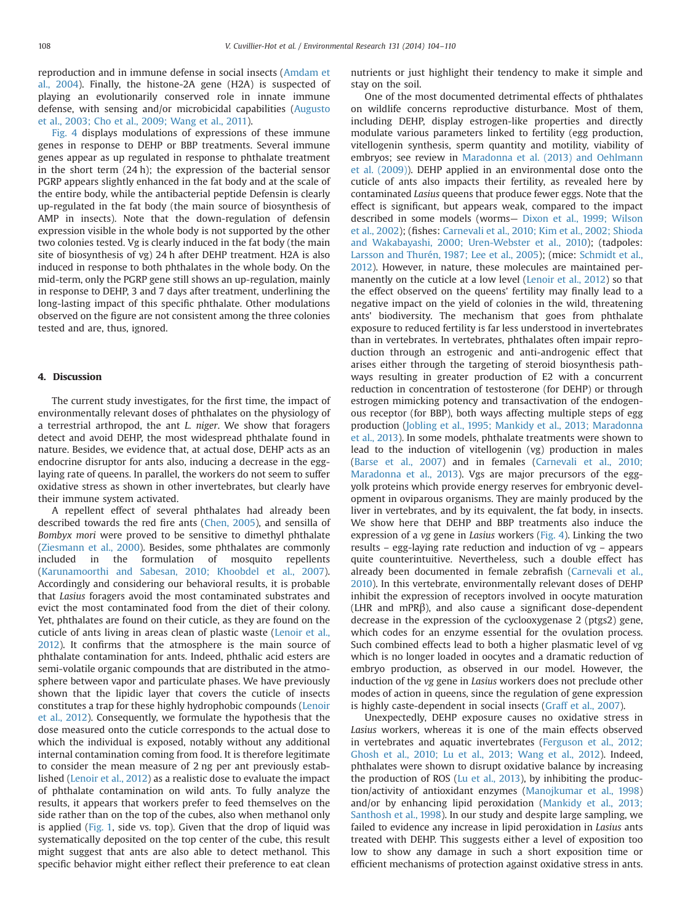reproduction and in immune defense in social insects ([Amdam et](#page-5-0) [al., 2004](#page-5-0)). Finally, the histone-2A gene (H2A) is suspected of playing an evolutionarily conserved role in innate immune defense, with sensing and/or microbicidal capabilities ([Augusto](#page-5-0) [et al., 2003; Cho et al., 2009; Wang et al., 2011\)](#page-6-0).

[Fig. 4](#page-3-0) displays modulations of expressions of these immune genes in response to DEHP or BBP treatments. Several immune genes appear as up regulated in response to phthalate treatment in the short term (24 h); the expression of the bacterial sensor PGRP appears slightly enhanced in the fat body and at the scale of the entire body, while the antibacterial peptide Defensin is clearly up-regulated in the fat body (the main source of biosynthesis of AMP in insects). Note that the down-regulation of defensin expression visible in the whole body is not supported by the other two colonies tested. Vg is clearly induced in the fat body (the main site of biosynthesis of vg) 24 h after DEHP treatment. H2A is also induced in response to both phthalates in the whole body. On the mid-term, only the PGRP gene still shows an up-regulation, mainly in response to DEHP, 3 and 7 days after treatment, underlining the long-lasting impact of this specific phthalate. Other modulations observed on the figure are not consistent among the three colonies tested and are, thus, ignored.

## 4. Discussion

The current study investigates, for the first time, the impact of environmentally relevant doses of phthalates on the physiology of a terrestrial arthropod, the ant L. niger. We show that foragers detect and avoid DEHP, the most widespread phthalate found in nature. Besides, we evidence that, at actual dose, DEHP acts as an endocrine disruptor for ants also, inducing a decrease in the egglaying rate of queens. In parallel, the workers do not seem to suffer oxidative stress as shown in other invertebrates, but clearly have their immune system activated.

A repellent effect of several phthalates had already been described towards the red fire ants ([Chen, 2005](#page-5-0)), and sensilla of Bombyx mori were proved to be sensitive to dimethyl phthalate ([Ziesmann et al., 2000\)](#page-6-0). Besides, some phthalates are commonly included in the formulation of mosquito repellents ([Karunamoorthi and Sabesan, 2010; Khoobdel et al., 2007\)](#page-5-0). Accordingly and considering our behavioral results, it is probable that Lasius foragers avoid the most contaminated substrates and evict the most contaminated food from the diet of their colony. Yet, phthalates are found on their cuticle, as they are found on the cuticle of ants living in areas clean of plastic waste [\(Lenoir et al.,](#page-5-0) [2012](#page-5-0)). It confirms that the atmosphere is the main source of phthalate contamination for ants. Indeed, phthalic acid esters are semi-volatile organic compounds that are distributed in the atmosphere between vapor and particulate phases. We have previously shown that the lipidic layer that covers the cuticle of insects constitutes a trap for these highly hydrophobic compounds ([Lenoir](#page-5-0) [et al., 2012](#page-5-0)). Consequently, we formulate the hypothesis that the dose measured onto the cuticle corresponds to the actual dose to which the individual is exposed, notably without any additional internal contamination coming from food. It is therefore legitimate to consider the mean measure of 2 ng per ant previously established ([Lenoir et al., 2012\)](#page-5-0) as a realistic dose to evaluate the impact of phthalate contamination on wild ants. To fully analyze the results, it appears that workers prefer to feed themselves on the side rather than on the top of the cubes, also when methanol only is applied [\(Fig. 1](#page-2-0), side vs. top). Given that the drop of liquid was systematically deposited on the top center of the cube, this result might suggest that ants are also able to detect methanol. This specific behavior might either reflect their preference to eat clean nutrients or just highlight their tendency to make it simple and stay on the soil.

One of the most documented detrimental effects of phthalates on wildlife concerns reproductive disturbance. Most of them, including DEHP, display estrogen-like properties and directly modulate various parameters linked to fertility (egg production, vitellogenin synthesis, sperm quantity and motility, viability of embryos; see review in [Maradonna et al. \(2013\) and Oehlmann](#page-6-0) [et al. \(2009\)](#page-6-0)). DEHP applied in an environmental dose onto the cuticle of ants also impacts their fertility, as revealed here by contaminated Lasius queens that produce fewer eggs. Note that the effect is significant, but appears weak, compared to the impact described in some models (worms— [Dixon et al., 1999; Wilson](#page-6-0) [et al., 2002](#page-6-0)); (fishes: [Carnevali et al., 2010; Kim et al., 2002; Shioda](#page-6-0) [and Wakabayashi, 2000; Uren-Webster et al., 2010\)](#page-6-0); (tadpoles: [Larsson and Thurén, 1987; Lee et al., 2005](#page-5-0)); (mice: [Schmidt et al.,](#page-6-0) [2012](#page-6-0)). However, in nature, these molecules are maintained permanently on the cuticle at a low level ([Lenoir et al., 2012\)](#page-5-0) so that the effect observed on the queens' fertility may finally lead to a negative impact on the yield of colonies in the wild, threatening ants' biodiversity. The mechanism that goes from phthalate exposure to reduced fertility is far less understood in invertebrates than in vertebrates. In vertebrates, phthalates often impair reproduction through an estrogenic and anti-androgenic effect that arises either through the targeting of steroid biosynthesis pathways resulting in greater production of E2 with a concurrent reduction in concentration of testosterone (for DEHP) or through estrogen mimicking potency and transactivation of the endogenous receptor (for BBP), both ways affecting multiple steps of egg production [\(Jobling et al., 1995; Mankidy et al., 2013; Maradonna](#page-6-0) [et al., 2013](#page-6-0)). In some models, phthalate treatments were shown to lead to the induction of vitellogenin (vg) production in males ([Barse et al., 2007](#page-5-0)) and in females ([Carnevali et al., 2010;](#page-5-0) [Maradonna et al., 2013\)](#page-6-0). Vgs are major precursors of the eggyolk proteins which provide energy reserves for embryonic development in oviparous organisms. They are mainly produced by the liver in vertebrates, and by its equivalent, the fat body, in insects. We show here that DEHP and BBP treatments also induce the expression of a vg gene in Lasius workers ([Fig. 4](#page-3-0)). Linking the two results – egg-laying rate reduction and induction of vg – appears quite counterintuitive. Nevertheless, such a double effect has already been documented in female zebrafish [\(Carnevali et al.,](#page-5-0) [2010\)](#page-5-0). In this vertebrate, environmentally relevant doses of DEHP inhibit the expression of receptors involved in oocyte maturation (LHR and mPRβ), and also cause a significant dose-dependent decrease in the expression of the cyclooxygenase 2 (ptgs2) gene, which codes for an enzyme essential for the ovulation process. Such combined effects lead to both a higher plasmatic level of vg which is no longer loaded in oocytes and a dramatic reduction of embryo production, as observed in our model. However, the induction of the vg gene in Lasius workers does not preclude other modes of action in queens, since the regulation of gene expression is highly caste-dependent in social insects ([Graff et al., 2007\)](#page-5-0).

Unexpectedly, DEHP exposure causes no oxidative stress in Lasius workers, whereas it is one of the main effects observed in vertebrates and aquatic invertebrates ([Ferguson et al., 2012;](#page-5-0) [Ghosh et al., 2010; Lu et al., 2013; Wang et al., 2012\)](#page-6-0). Indeed, phthalates were shown to disrupt oxidative balance by increasing the production of ROS [\(Lu et al., 2013](#page-6-0)), by inhibiting the production/activity of antioxidant enzymes [\(Manojkumar et al., 1998\)](#page-6-0) and/or by enhancing lipid peroxidation ([Mankidy et al., 2013;](#page-6-0) [Santhosh et al., 1998](#page-6-0)). In our study and despite large sampling, we failed to evidence any increase in lipid peroxidation in Lasius ants treated with DEHP. This suggests either a level of exposition too low to show any damage in such a short exposition time or efficient mechanisms of protection against oxidative stress in ants.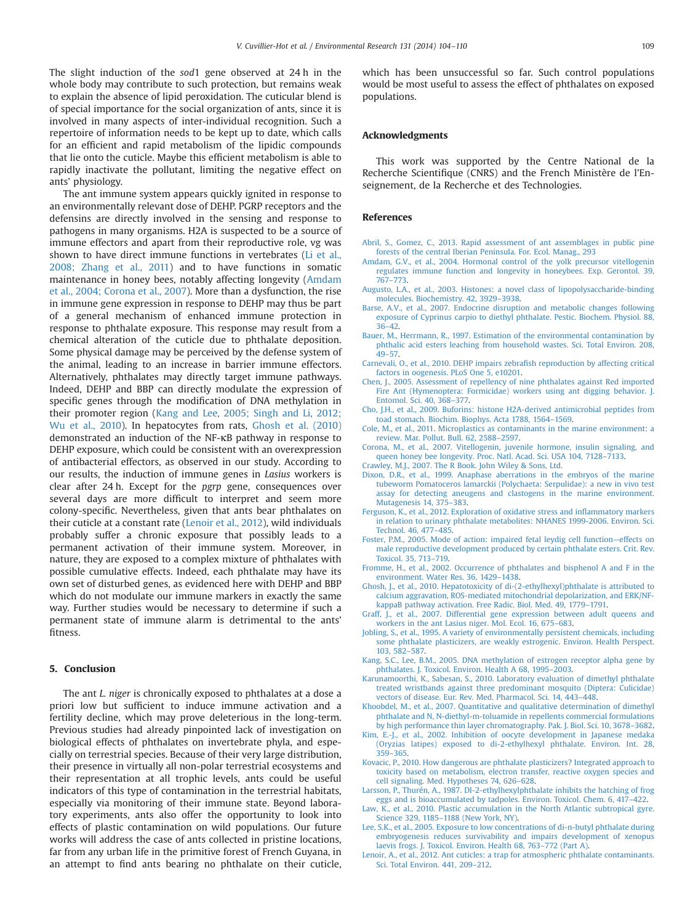<span id="page-5-0"></span>The slight induction of the sod1 gene observed at 24h in the whole body may contribute to such protection, but remains weak to explain the absence of lipid peroxidation. The cuticular blend is of special importance for the social organization of ants, since it is involved in many aspects of inter-individual recognition. Such a repertoire of information needs to be kept up to date, which calls for an efficient and rapid metabolism of the lipidic compounds that lie onto the cuticle. Maybe this efficient metabolism is able to rapidly inactivate the pollutant, limiting the negative effect on ants' physiology.

The ant immune system appears quickly ignited in response to an environmentally relevant dose of DEHP. PGRP receptors and the defensins are directly involved in the sensing and response to pathogens in many organisms. H2A is suspected to be a source of immune effectors and apart from their reproductive role, vg was shown to have direct immune functions in vertebrates [\(Li et al.,](#page-6-0) [2008; Zhang et al., 2011\)](#page-6-0) and to have functions in somatic maintenance in honey bees, notably affecting longevity (Amdam et al., 2004; Corona et al., 2007). More than a dysfunction, the rise in immune gene expression in response to DEHP may thus be part of a general mechanism of enhanced immune protection in response to phthalate exposure. This response may result from a chemical alteration of the cuticle due to phthalate deposition. Some physical damage may be perceived by the defense system of the animal, leading to an increase in barrier immune effectors. Alternatively, phthalates may directly target immune pathways. Indeed, DEHP and BBP can directly modulate the expression of specific genes through the modification of DNA methylation in their promoter region [\(Kang and Lee, 2005; Singh and Li, 2012;](#page-6-0) [Wu et al., 2010](#page-6-0)). In hepatocytes from rats, Ghosh et al. (2010) demonstrated an induction of the NF-κB pathway in response to DEHP exposure, which could be consistent with an overexpression of antibacterial effectors, as observed in our study. According to our results, the induction of immune genes in Lasius workers is clear after 24 h. Except for the pgrp gene, consequences over several days are more difficult to interpret and seem more colony-specific. Nevertheless, given that ants bear phthalates on their cuticle at a constant rate (Lenoir et al., 2012), wild individuals probably suffer a chronic exposure that possibly leads to a permanent activation of their immune system. Moreover, in nature, they are exposed to a complex mixture of phthalates with possible cumulative effects. Indeed, each phthalate may have its own set of disturbed genes, as evidenced here with DEHP and BBP which do not modulate our immune markers in exactly the same way. Further studies would be necessary to determine if such a permanent state of immune alarm is detrimental to the ants' fitness.

## 5. Conclusion

The ant L. niger is chronically exposed to phthalates at a dose a priori low but sufficient to induce immune activation and a fertility decline, which may prove deleterious in the long-term. Previous studies had already pinpointed lack of investigation on biological effects of phthalates on invertebrate phyla, and especially on terrestrial species. Because of their very large distribution, their presence in virtually all non-polar terrestrial ecosystems and their representation at all trophic levels, ants could be useful indicators of this type of contamination in the terrestrial habitats, especially via monitoring of their immune state. Beyond laboratory experiments, ants also offer the opportunity to look into effects of plastic contamination on wild populations. Our future works will address the case of ants collected in pristine locations, far from any urban life in the primitive forest of French Guyana, in an attempt to find ants bearing no phthalate on their cuticle, which has been unsuccessful so far. Such control populations would be most useful to assess the effect of phthalates on exposed populations.

# Acknowledgments

This work was supported by the Centre National de la Recherche Scientifique (CNRS) and the French Ministère de l'Enseignement, de la Recherche et des Technologies.

### References

- [Abril, S., Gomez, C., 2013. Rapid assessment of ant assemblages in public pine](http://refhub.elsevier.com/S0013-9351(14)00062-0/sbref1) [forests of the central Iberian Peninsula. For. Ecol. Manag., 293](http://refhub.elsevier.com/S0013-9351(14)00062-0/sbref1)
- [Amdam, G.V., et al., 2004. Hormonal control of the yolk precursor vitellogenin](http://refhub.elsevier.com/S0013-9351(14)00062-0/sbref2) [regulates immune function and longevity in honeybees. Exp. Gerontol. 39,](http://refhub.elsevier.com/S0013-9351(14)00062-0/sbref2) 767–[773.](http://refhub.elsevier.com/S0013-9351(14)00062-0/sbref2)
- [Augusto, L.A., et al., 2003. Histones: a novel class of lipopolysaccharide-binding](http://refhub.elsevier.com/S0013-9351(14)00062-0/sbref3) [molecules. Biochemistry. 42, 3929](http://refhub.elsevier.com/S0013-9351(14)00062-0/sbref3)–3938.
- [Barse, A.V., et al., 2007. Endocrine disruption and metabolic changes following](http://refhub.elsevier.com/S0013-9351(14)00062-0/sbref4) [exposure of Cyprinus carpio to diethyl phthalate. Pestic. Biochem. Physiol. 88,](http://refhub.elsevier.com/S0013-9351(14)00062-0/sbref4) 36–[42.](http://refhub.elsevier.com/S0013-9351(14)00062-0/sbref4)
- [Bauer, M., Herrmann, R., 1997. Estimation of the environmental contamination by](http://refhub.elsevier.com/S0013-9351(14)00062-0/sbref5) [phthalic acid esters leaching from household wastes. Sci. Total Environ. 208,](http://refhub.elsevier.com/S0013-9351(14)00062-0/sbref5)  $49 - 57$ .
- [Carnevali, O., et al., 2010. DEHP impairs zebra](http://refhub.elsevier.com/S0013-9351(14)00062-0/sbref6)fish reproduction by affecting critical [factors in oogenesis. PLoS One 5, e10201.](http://refhub.elsevier.com/S0013-9351(14)00062-0/sbref6)
- [Chen, J., 2005. Assessment of repellency of nine phthalates against Red imported](http://refhub.elsevier.com/S0013-9351(14)00062-0/sbref7) [Fire Ant \(Hymenoptera: Formicidae\) workers using ant digging behavior. J.](http://refhub.elsevier.com/S0013-9351(14)00062-0/sbref7) [Entomol. Sci. 40, 368](http://refhub.elsevier.com/S0013-9351(14)00062-0/sbref7)–377.
- [Cho, J.H., et al., 2009. Buforins: histone H2A-derived antimicrobial peptides from](http://refhub.elsevier.com/S0013-9351(14)00062-0/sbref8) [toad stomach. Biochim. Biophys. Acta 1788, 1564](http://refhub.elsevier.com/S0013-9351(14)00062-0/sbref8)–1569.
- [Cole, M., et al., 2011. Microplastics as contaminants in the marine environment: a](http://refhub.elsevier.com/S0013-9351(14)00062-0/sbref9) [review. Mar. Pollut. Bull. 62, 2588](http://refhub.elsevier.com/S0013-9351(14)00062-0/sbref9)–2597.
- [Corona, M., et al., 2007. Vitellogenin, juvenile hormone, insulin signaling, and](http://refhub.elsevier.com/S0013-9351(14)00062-0/sbref10) [queen honey bee longevity. Proc. Natl. Acad. Sci. USA 104, 7128](http://refhub.elsevier.com/S0013-9351(14)00062-0/sbref10)–7133.
- [Crawley, M.J., 2007. The R Book. John Wiley](http://refhub.elsevier.com/S0013-9351(14)00062-0/sbref11) & [Sons, Ltd.](http://refhub.elsevier.com/S0013-9351(14)00062-0/sbref11)
- [Dixon, D.R., et al., 1999. Anaphase aberrations in the embryos of the marine](http://refhub.elsevier.com/S0013-9351(14)00062-0/sbref12) [tubeworm Pomatoceros lamarckii \(Polychaeta: Serpulidae\): a new in vivo test](http://refhub.elsevier.com/S0013-9351(14)00062-0/sbref12) [assay for detecting aneugens and clastogens in the marine environment.](http://refhub.elsevier.com/S0013-9351(14)00062-0/sbref12) [Mutagenesis 14, 375](http://refhub.elsevier.com/S0013-9351(14)00062-0/sbref12)–383.
- [Ferguson, K., et al., 2012. Exploration of oxidative stress and in](http://refhub.elsevier.com/S0013-9351(14)00062-0/sbref13)flammatory markers [in relation to urinary phthalate metabolites: NHANES 1999-2006. Environ. Sci.](http://refhub.elsevier.com/S0013-9351(14)00062-0/sbref13) [Technol. 46, 477](http://refhub.elsevier.com/S0013-9351(14)00062-0/sbref13)–485.
- [Foster, P.M., 2005. Mode of action: impaired fetal leydig cell function](http://refhub.elsevier.com/S0013-9351(14)00062-0/sbref14)—effects on [male reproductive development produced by certain phthalate esters. Crit. Rev.](http://refhub.elsevier.com/S0013-9351(14)00062-0/sbref14) [Toxicol. 35, 713](http://refhub.elsevier.com/S0013-9351(14)00062-0/sbref14)–719.
- [Fromme, H., et al., 2002. Occurrence of phthalates and bisphenol A and F in the](http://refhub.elsevier.com/S0013-9351(14)00062-0/sbref15) [environment. Water Res. 36, 1429](http://refhub.elsevier.com/S0013-9351(14)00062-0/sbref15)–1438.
- [Ghosh, J., et al., 2010. Hepatotoxicity of di-\(2-ethylhexyl\)phthalate is attributed to](http://refhub.elsevier.com/S0013-9351(14)00062-0/sbref16) [calcium aggravation, ROS-mediated mitochondrial depolarization, and ERK/NF](http://refhub.elsevier.com/S0013-9351(14)00062-0/sbref16)[kappaB pathway activation. Free Radic. Biol. Med. 49, 1779](http://refhub.elsevier.com/S0013-9351(14)00062-0/sbref16)–1791.
- [Graff, J., et al., 2007. Differential gene expression between adult queens and](http://refhub.elsevier.com/S0013-9351(14)00062-0/sbref17) [workers in the ant Lasius niger. Mol. Ecol. 16, 675](http://refhub.elsevier.com/S0013-9351(14)00062-0/sbref17)–683.
- [Jobling, S., et al., 1995. A variety of environmentally persistent chemicals, including](http://refhub.elsevier.com/S0013-9351(14)00062-0/sbref18) [some phthalate plasticizers, are weakly estrogenic. Environ. Health Perspect.](http://refhub.elsevier.com/S0013-9351(14)00062-0/sbref18) [103, 582](http://refhub.elsevier.com/S0013-9351(14)00062-0/sbref18)–587.
- [Kang, S.C., Lee, B.M., 2005. DNA methylation of estrogen receptor alpha gene by](http://refhub.elsevier.com/S0013-9351(14)00062-0/sbref19) [phthalates. J. Toxicol. Environ. Health A 68, 1995](http://refhub.elsevier.com/S0013-9351(14)00062-0/sbref19)–2003.
- [Karunamoorthi, K., Sabesan, S., 2010. Laboratory evaluation of dimethyl phthalate](http://refhub.elsevier.com/S0013-9351(14)00062-0/sbref20) [treated wristbands against three predominant mosquito \(Diptera: Culicidae\)](http://refhub.elsevier.com/S0013-9351(14)00062-0/sbref20) [vectors of disease. Eur. Rev. Med. Pharmacol. Sci. 14, 443](http://refhub.elsevier.com/S0013-9351(14)00062-0/sbref20)–448.
- [Khoobdel, M., et al., 2007. Quantitative and qualitative determination of dimethyl](http://refhub.elsevier.com/S0013-9351(14)00062-0/sbref21) [phthalate and N, N-diethyl-m-toluamide in repellents commercial formulations](http://refhub.elsevier.com/S0013-9351(14)00062-0/sbref21) [by high performance thin layer chromatography. Pak. J. Biol. Sci. 10, 3678](http://refhub.elsevier.com/S0013-9351(14)00062-0/sbref21)–3682.
- [Kim, E.-J., et al., 2002. Inhibition of oocyte development in Japanese medaka](http://refhub.elsevier.com/S0013-9351(14)00062-0/sbref22) [\(Oryzias latipes\) exposed to di-2-ethylhexyl phthalate. Environ. Int. 28,](http://refhub.elsevier.com/S0013-9351(14)00062-0/sbref22) 359–[365.](http://refhub.elsevier.com/S0013-9351(14)00062-0/sbref22)
- [Kovacic, P., 2010. How dangerous are phthalate plasticizers? Integrated approach to](http://refhub.elsevier.com/S0013-9351(14)00062-0/sbref23) [toxicity based on metabolism, electron transfer, reactive oxygen species and](http://refhub.elsevier.com/S0013-9351(14)00062-0/sbref23) [cell signaling. Med. Hypotheses 74, 626](http://refhub.elsevier.com/S0013-9351(14)00062-0/sbref23)–628.
- [Larsson, P., Thurén, A., 1987. DI-2-ethylhexylphthalate inhibits the hatching of frog](http://refhub.elsevier.com/S0013-9351(14)00062-0/sbref24) [eggs and is bioaccumulated by tadpoles. Environ. Toxicol. Chem. 6, 417](http://refhub.elsevier.com/S0013-9351(14)00062-0/sbref24)–422.
- [Law, K., et al., 2010. Plastic accumulation in the North Atlantic subtropical gyre.](http://refhub.elsevier.com/S0013-9351(14)00062-0/sbref25) Science 329, 1185–[1188 \(New York, NY\).](http://refhub.elsevier.com/S0013-9351(14)00062-0/sbref25)
- [Lee, S.K., et al., 2005. Exposure to low concentrations of di-n-butyl phthalate during](http://refhub.elsevier.com/S0013-9351(14)00062-0/sbref26) [embryogenesis reduces survivability and impairs development of xenopus](http://refhub.elsevier.com/S0013-9351(14)00062-0/sbref26) [laevis frogs. J. Toxicol. Environ. Health 68, 763](http://refhub.elsevier.com/S0013-9351(14)00062-0/sbref26)-772 (Part A)
- [Lenoir, A., et al., 2012. Ant cuticles: a trap for atmospheric phthalate contaminants.](http://refhub.elsevier.com/S0013-9351(14)00062-0/sbref27) [Sci. Total Environ. 441, 209](http://refhub.elsevier.com/S0013-9351(14)00062-0/sbref27)–212.